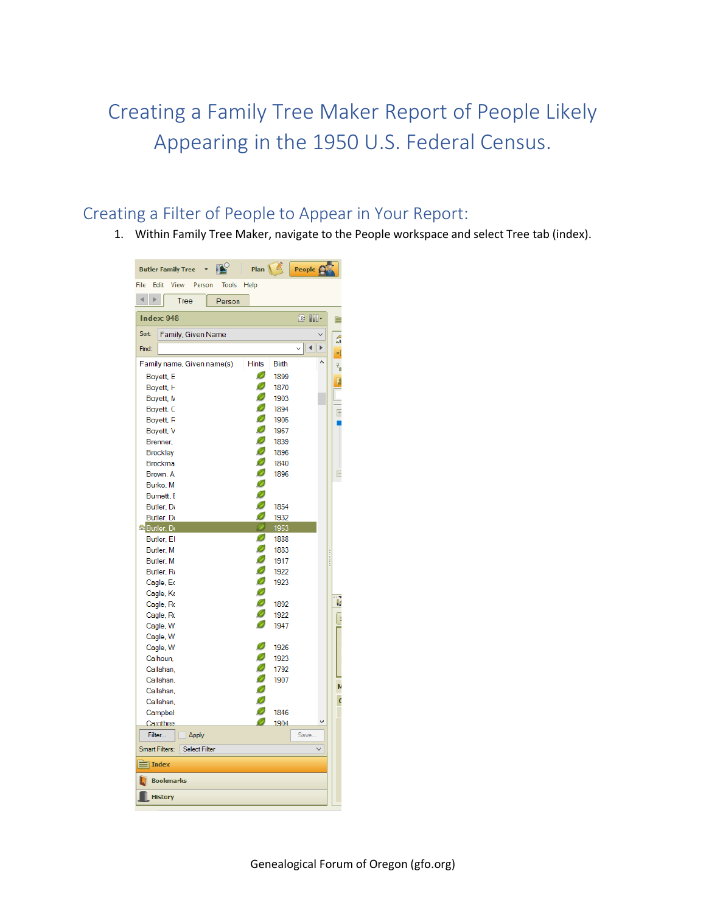## Creating a Family Tree Maker Report of People Likely Appearing in the 1950 U.S. Federal Census.

## Creating a Filter of People to Appear in Your Report:

1. Within Family Tree Maker, navigate to the People workspace and select Tree tab (index).

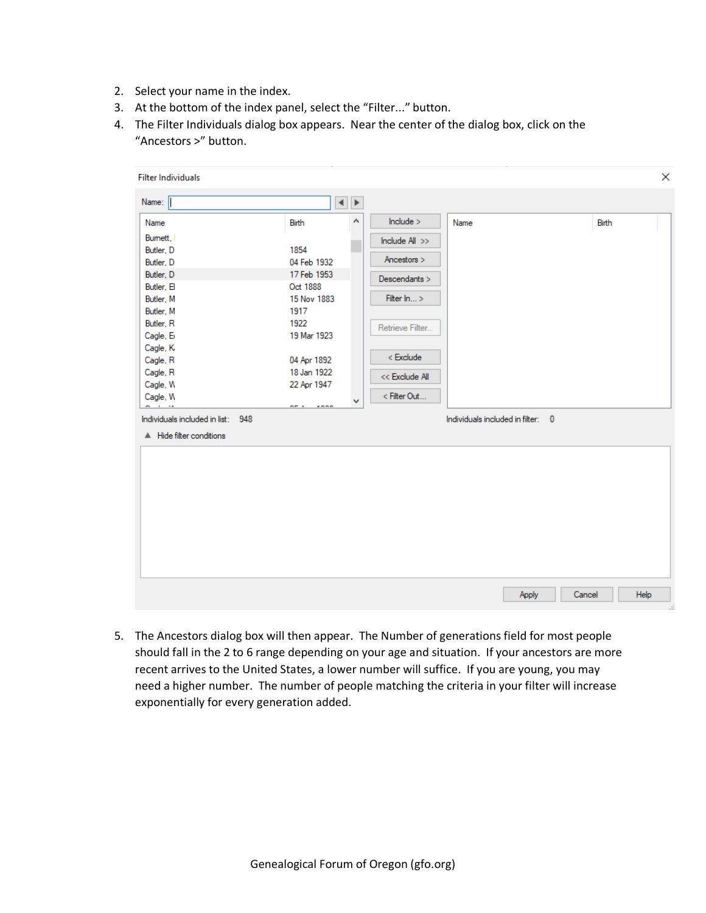- 2. Select your name in the index.
- 3. At the bottom of the index panel, select the "Filter..." button.
- 4. The Filter Individuals dialog box appears. Near the center of the dialog box, click on the "Ancestors >" button.

| <b>Filter Individuals</b>         |                    |                                            |                 |                                   |       |
|-----------------------------------|--------------------|--------------------------------------------|-----------------|-----------------------------------|-------|
| Name:                             |                    | $\blacktriangleleft$ $\blacktriangleright$ |                 |                                   |       |
| Name                              | Birth              | Α                                          | include >       | Name                              | Birth |
| Bumett,                           |                    |                                            | Include All >>  |                                   |       |
| Butler, D                         | 1854               |                                            |                 |                                   |       |
| Butler, D                         | 04 Feb 1932        |                                            | Ancestors >     |                                   |       |
| Butler, D                         | 17 Feb 1953        |                                            | Descendants >   |                                   |       |
| Butler, El                        | Oct 1888           |                                            |                 |                                   |       |
| Butler, M                         | 15 Nov 1883        |                                            | Filter In >     |                                   |       |
| Butler, M                         | 1917               |                                            |                 |                                   |       |
| Butler, R                         | 1922               |                                            | Retrieve Filter |                                   |       |
| Cagle, E                          | 19 Mar 1923        |                                            |                 |                                   |       |
| Cagle, K                          |                    |                                            |                 |                                   |       |
| Cagle, R                          | 04 Apr 1892        |                                            | < Exclude       |                                   |       |
| Cagle, R                          | 18 Jan 1922        |                                            | << Exclude All  |                                   |       |
| Cagle, W                          | 22 Apr 1947        |                                            |                 |                                   |       |
| Cagle, W                          |                    | ٧                                          | < Filter Out    |                                   |       |
| $\sim$                            | <br><b>Address</b> |                                            |                 |                                   |       |
| Individuals included in list: 948 |                    |                                            |                 | Individuals included in filter: 0 |       |
| A Hide filter conditions          |                    |                                            |                 |                                   |       |
|                                   |                    |                                            |                 |                                   |       |
|                                   |                    |                                            |                 |                                   |       |
|                                   |                    |                                            |                 |                                   |       |
|                                   |                    |                                            |                 |                                   |       |
|                                   |                    |                                            |                 |                                   |       |
|                                   |                    |                                            |                 |                                   |       |
|                                   |                    |                                            |                 |                                   |       |
|                                   |                    |                                            |                 |                                   |       |
|                                   |                    |                                            |                 |                                   |       |
|                                   |                    |                                            |                 |                                   |       |
|                                   |                    |                                            |                 |                                   |       |
|                                   |                    |                                            |                 |                                   |       |
|                                   |                    |                                            |                 |                                   |       |

5. The Ancestors dialog box will then appear. The Number of generations field for most people should fall in the 2 to 6 range depending on your age and situation. If your ancestors are more recent arrives to the United States, a lower number will suffice. If you are young, you may need a higher number. The number of people matching the criteria in your filter will increase exponentially for every generation added.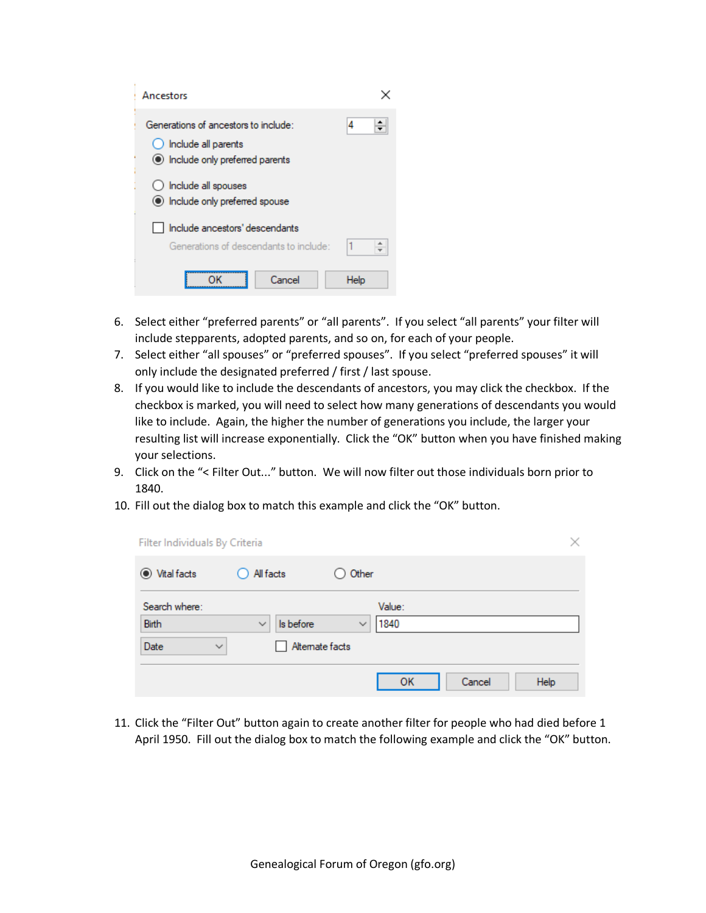| Ancestors                                                                                        |      |
|--------------------------------------------------------------------------------------------------|------|
| Generations of ancestors to include:<br>Include all parents<br>le Include only preferred parents | 4    |
| Include all spouses<br>()<br>• Include only preferred spouse                                     |      |
| Include ancestors' descendants<br>Generations of descendants to include:                         |      |
| Cancel                                                                                           | Help |

- 6. Select either "preferred parents" or "all parents". If you select "all parents" your filter will include stepparents, adopted parents, and so on, for each of your people.
- 7. Select either "all spouses" or "preferred spouses". If you select "preferred spouses" it will only include the designated preferred / first / last spouse.
- 8. If you would like to include the descendants of ancestors, you may click the checkbox. If the checkbox is marked, you will need to select how many generations of descendants you would like to include. Again, the higher the number of generations you include, the larger your resulting list will increase exponentially. Click the "OK" button when you have finished making your selections.
- 9. Click on the "< Filter Out..." button. We will now filter out those individuals born prior to 1840.
- 10. Fill out the dialog box to match this example and click the "OK" button.

| Filter Individuals By Criteria |                           |                                | $\times$ |
|--------------------------------|---------------------------|--------------------------------|----------|
| <b>●</b> Vital facts           | All facts<br>0            | Other                          |          |
| Search where:<br>Birth         | Is before<br>$\checkmark$ | Value:<br>1840<br>$\checkmark$ |          |
| Date<br>$\checkmark$           | Alternate facts           |                                |          |
|                                |                           | OK<br>Cancel                   | Help     |

11. Click the "Filter Out" button again to create another filter for people who had died before 1 April 1950. Fill out the dialog box to match the following example and click the "OK" button.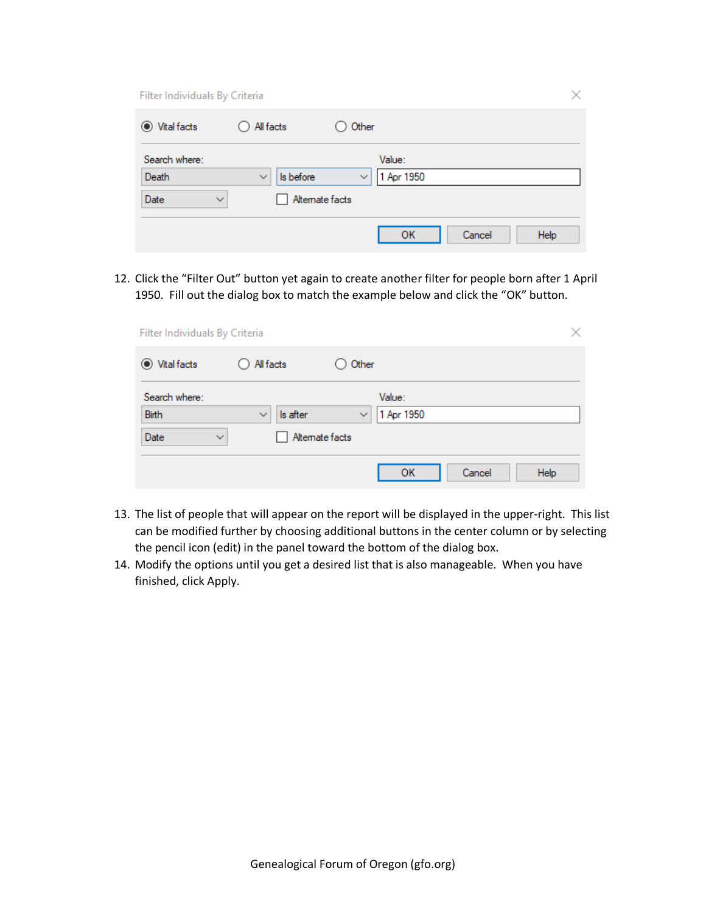Filter Individuals By Criteria

| $\odot$<br>Vital facts | O All facts                     | Other                      |        |      |
|------------------------|---------------------------------|----------------------------|--------|------|
| Search where:          |                                 | Value:                     |        |      |
| Death                  | Is before<br>$\checkmark$       | 1 Apr 1950<br>$\checkmark$ |        |      |
| Date                   | Alternate facts<br>$\checkmark$ |                            |        |      |
|                        |                                 | OK                         | Cancel | Help |

12. Click the "Filter Out" button yet again to create another filter for people born after 1 April 1950. Fill out the dialog box to match the example below and click the "OK" button.

| Filter Individuals By Criteria |                                             |                            |                | × |
|--------------------------------|---------------------------------------------|----------------------------|----------------|---|
| ◉ Vital facts                  | $\bigcirc$ All facts                        | $\bigcirc$ Other           |                |   |
| Search where:                  |                                             | Value:                     |                |   |
| Birth<br>Date<br>$\checkmark$  | $\checkmark$<br>Is after<br>Alternate facts | 1 Apr 1950<br>$\checkmark$ |                |   |
|                                |                                             | OK                         | Cancel<br>Help |   |

- 13. The list of people that will appear on the report will be displayed in the upper-right. This list can be modified further by choosing additional buttons in the center column or by selecting the pencil icon (edit) in the panel toward the bottom of the dialog box.
- 14. Modify the options until you get a desired list that is also manageable. When you have finished, click Apply.

 $\times$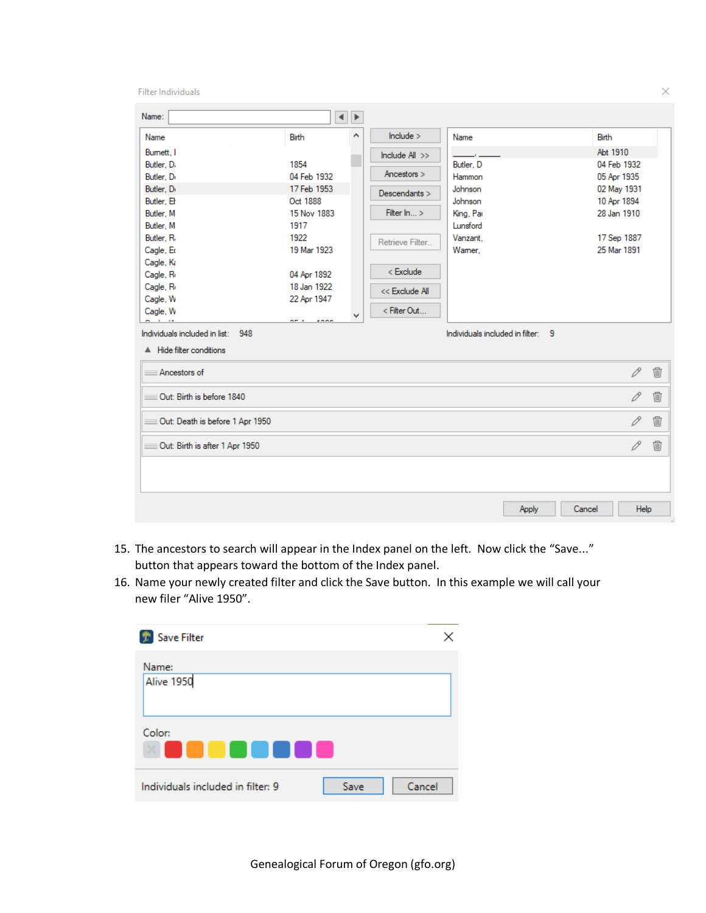Filter Individuals

| Name:                                    |             | $\blacktriangleleft$ $\blacktriangleright$ |                 |           |       |              |      |
|------------------------------------------|-------------|--------------------------------------------|-----------------|-----------|-------|--------------|------|
| Name                                     | Birth       | Α                                          | include >       | Name      |       | <b>Birth</b> |      |
| Bumett.                                  |             |                                            | Include All >>  |           |       | Abt 1910     |      |
| Butler, Di                               | 1854        |                                            |                 | Butler, D |       | 04 Feb 1932  |      |
| Butler, Dr                               | 04 Feb 1932 |                                            | Ancestors >     | Hammon    |       | 05 Apr 1935  |      |
| Butler, Dr                               | 17 Feb 1953 |                                            | Descendants >   | Johnson.  |       | 02 May 1931  |      |
| Butler, El                               | Oct 1888    |                                            |                 | Johnson.  |       | 10 Apr 1894  |      |
| Butler, M                                | 15 Nov 1883 |                                            | Filter In >     | King, Par |       | 28 Jan 1910  |      |
| Butler, M                                | 1917        |                                            |                 | Lunsford  |       |              |      |
| Butler, Ri                               | 1922        |                                            | Retrieve Filter | Vanzant.  |       | 17 Sep 1887  |      |
| Cagle, Ed                                | 19 Mar 1923 |                                            |                 | Wamer,    |       | 25 Mar 1891  |      |
| Cagle, Ki                                |             |                                            |                 |           |       |              |      |
| Cagle, R                                 | 04 Apr 1892 |                                            | < Exclude       |           |       |              |      |
| Cagle, R                                 | 18 Jan 1922 |                                            | << Exclude All  |           |       |              |      |
| Cagle, W                                 | 22 Apr 1947 |                                            |                 |           |       |              |      |
| Cagle, W                                 |             | v                                          | < Filter Out    |           |       |              |      |
| A Hide filter conditions<br>Ancestors of |             |                                            |                 |           |       | 0            | 逦    |
|                                          |             |                                            |                 |           |       |              |      |
| Out: Birth is before 1840                |             |                                            |                 |           |       | 0            | 勔    |
| Out: Death is before 1 Apr 1950          |             |                                            |                 |           |       | 0            | ⑩    |
| Out: Birth is after 1 Apr 1950           |             |                                            |                 |           |       | 0            | 勔    |
|                                          |             |                                            |                 |           |       |              |      |
|                                          |             |                                            |                 |           | Apply | Cancel       | Help |

- 15. The ancestors to search will appear in the Index panel on the left. Now click the "Save..." button that appears toward the bottom of the Index panel.
- 16. Name your newly created filter and click the Save button. In this example we will call your new filer "Alive 1950".

| Save Filter                               | ×      |
|-------------------------------------------|--------|
| Name:<br>Alive 1950                       |        |
| Color:<br>.                               |        |
| Individuals included in filter: 9<br>Save | Cancel |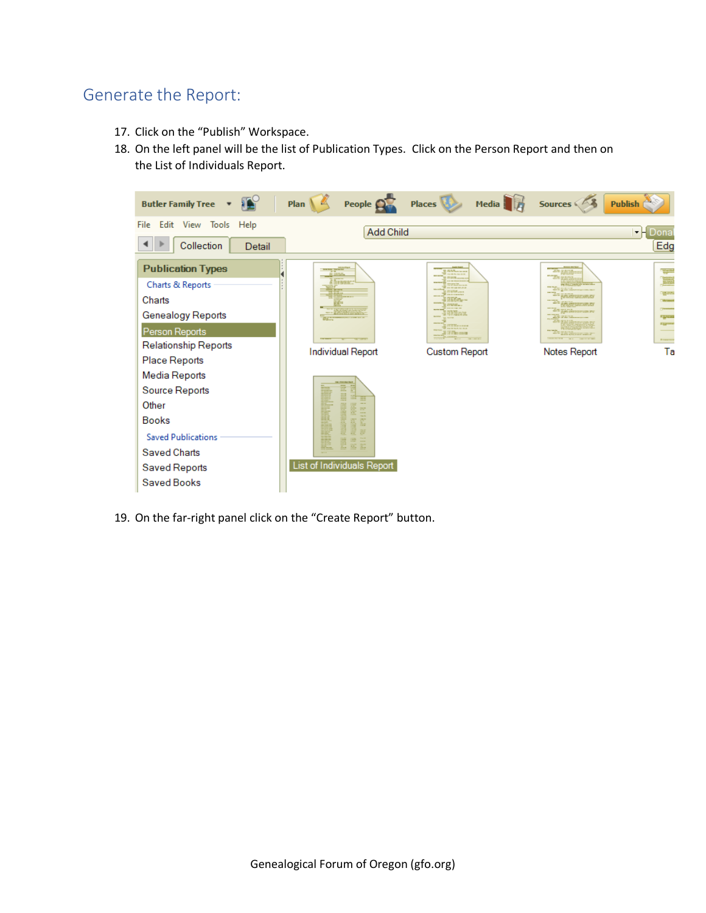## Generate the Report:

- 17. Click on the "Publish" Workspace.
- 18. On the left panel will be the list of Publication Types. Click on the Person Report and then on the List of Individuals Report.



19. On the far-right panel click on the "Create Report" button.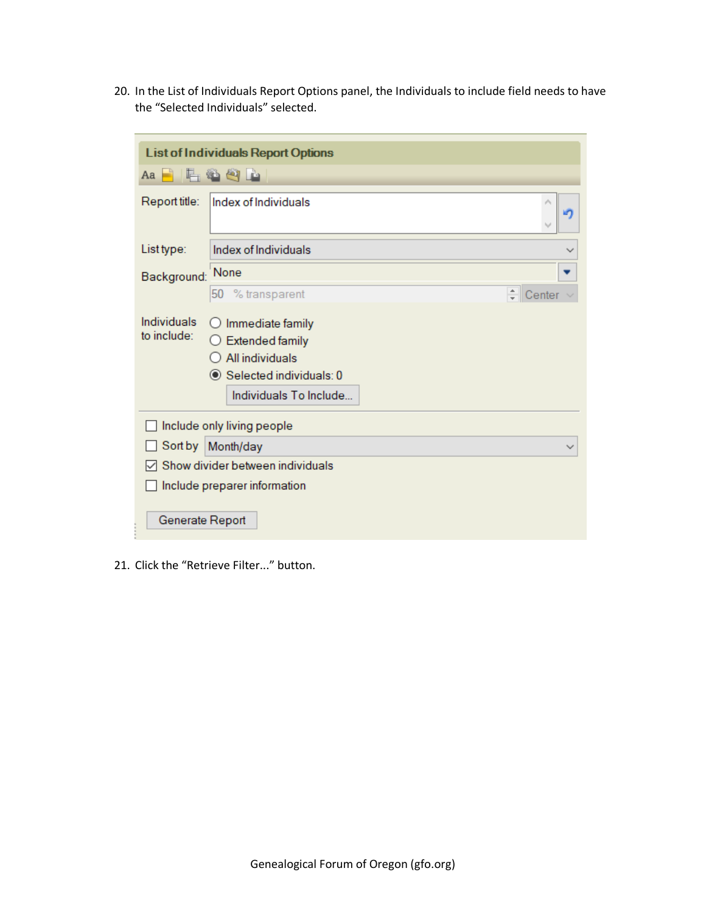20. In the List of Individuals Report Options panel, the Individuals to include field needs to have the "Selected Individuals" selected.

|                                   | <b>List of Individuals Report Options</b>                                                                                     |             |  |  |  |
|-----------------------------------|-------------------------------------------------------------------------------------------------------------------------------|-------------|--|--|--|
| Aa                                | <u>LBOD</u>                                                                                                                   |             |  |  |  |
| Report title:                     | Index of Individuals                                                                                                          |             |  |  |  |
| List type:                        | Index of Individuals                                                                                                          |             |  |  |  |
| Background:                       | None                                                                                                                          |             |  |  |  |
|                                   | % transparent<br>50                                                                                                           | ÷<br>Center |  |  |  |
| Individuals<br>to include:        | Immediate family<br><b>Extended family</b><br>$\bigcirc$ All individuals<br>Selected individuals: 0<br>Individuals To Include |             |  |  |  |
|                                   | Include only living people                                                                                                    |             |  |  |  |
| Sort by Month/day<br>$\checkmark$ |                                                                                                                               |             |  |  |  |
| Show divider between individuals  |                                                                                                                               |             |  |  |  |
| Generate Report                   | Include preparer information                                                                                                  |             |  |  |  |

21. Click the "Retrieve Filter..." button.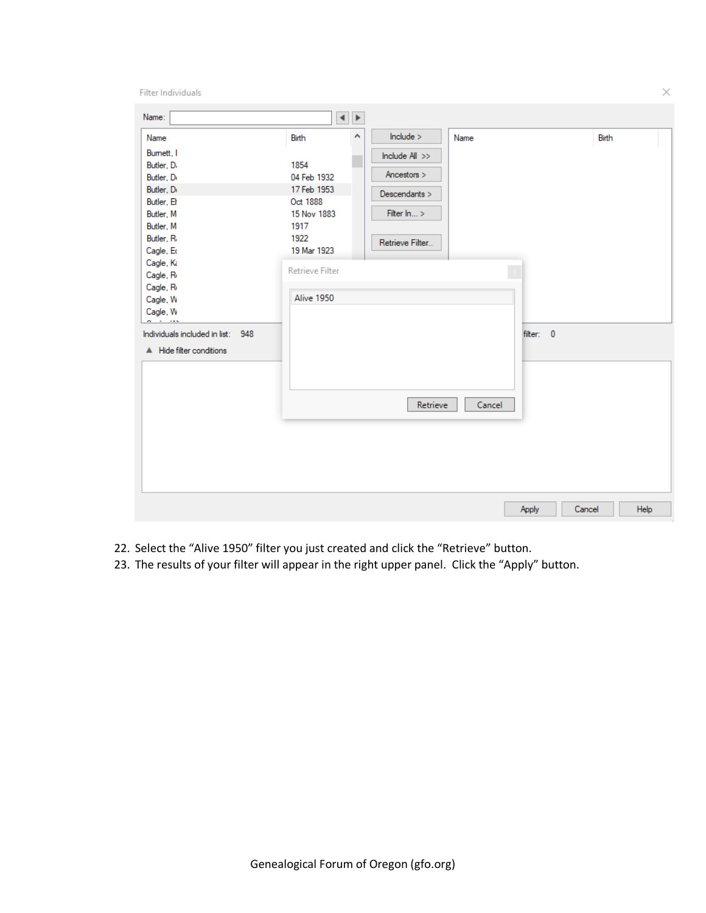Filter Individuals

| include ><br>Α<br>Birth<br>Birth<br>Name<br>Name<br>Bumett, I<br>Include All >><br>Butler, Di<br>1854<br>Ancestors ><br>Butler, Dr<br>04 Feb 1932<br>Butler, Dr<br>17 Feb 1953<br>Descendants ><br>Butler, Et<br>Oct 1888<br>Filter In ><br>15 Nov 1883<br>Butler, M<br>Butler, M<br>1917<br>Butler, Ri<br>1922<br>Retrieve Filter<br>19 Mar 1923<br>Cagle, Ed<br>Cagle, Ki<br><b>Retrieve Filter</b><br>Cagle, R<br>Cagle, R<br>Alive 1950<br>Cagle, W<br>Cagle, W<br>$\sim$<br>1.11<br>Individuals included in list: 948<br>filter: 0<br>A Hide filter conditions<br>Retrieve<br>Cancel |
|-------------------------------------------------------------------------------------------------------------------------------------------------------------------------------------------------------------------------------------------------------------------------------------------------------------------------------------------------------------------------------------------------------------------------------------------------------------------------------------------------------------------------------------------------------------------------------------------|
|                                                                                                                                                                                                                                                                                                                                                                                                                                                                                                                                                                                           |

- 22. Select the "Alive 1950" filter you just created and click the "Retrieve" button.
- 23. The results of your filter will appear in the right upper panel. Click the "Apply" button.

Genealogical Forum of Oregon (gfo.org)

 $\times$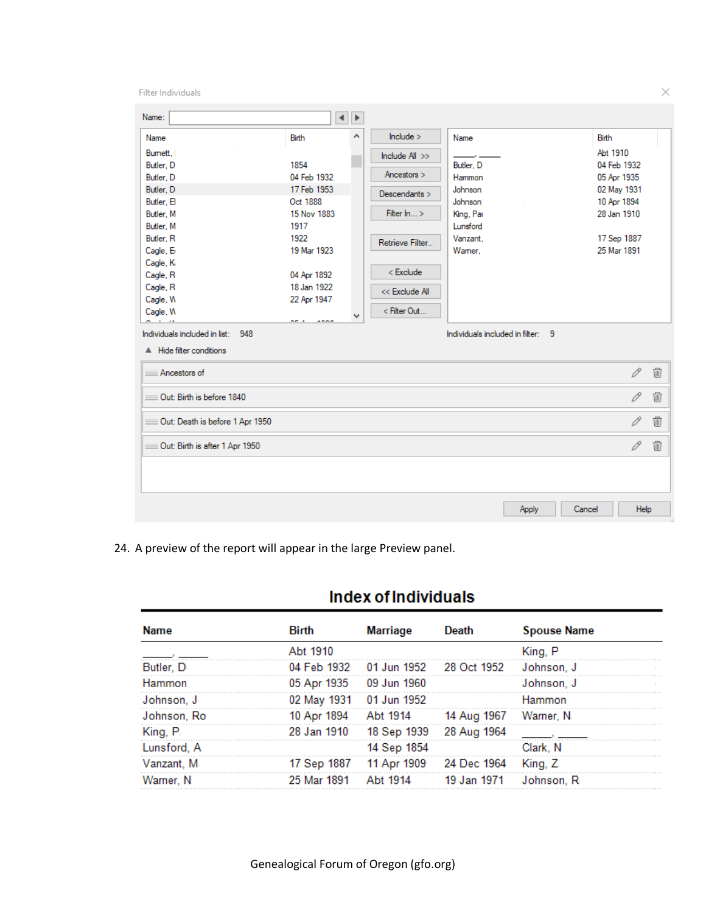Filter Individuals

| Name:                                                                 |                                                          | $\left\  \cdot \right\ $ |                                                                |                                                                 |                                                          |                |
|-----------------------------------------------------------------------|----------------------------------------------------------|--------------------------|----------------------------------------------------------------|-----------------------------------------------------------------|----------------------------------------------------------|----------------|
| Name<br>Bumett.<br>Butler, D<br>Butler, D                             | <b>Birth</b><br>1854<br>04 Feb 1932                      | ٨                        | include ><br>Include All >><br>Ancestors >                     | Name<br>Butler, D<br>Hammon                                     | Birth<br>Abt 1910<br>04 Feb 1932<br>05 Apr 1935          |                |
| Butler, D<br>Butler, El<br>Butler, M<br>Butler, M<br>Butler, R        | 17 Feb 1953<br>Oct 1888<br>15 Nov 1883<br>1917<br>1922   |                          | Descendants ><br>Filter In >                                   | <b>Johnson</b><br>Johnson.<br>King, Par<br>Lunsford<br>Vanzant. | 02 May 1931<br>10 Apr 1894<br>28 Jan 1910<br>17 Sep 1887 |                |
| Cagle, E<br>Cagle, Ki<br>Cagle, R<br>Cagle, R<br>Cagle, W<br>Cagle, W | 19 Mar 1923<br>04 Apr 1892<br>18 Jan 1922<br>22 Apr 1947 |                          | Retrieve Filter<br>< Exclude<br><< Exclude All<br>< Filter Out | Wamer.                                                          | 25 Mar 1891                                              |                |
| Individuals included in list: 948<br>A Hide filter conditions         | on a<br>2000                                             | v                        |                                                                | Individuals included in filter: 9                               |                                                          |                |
| Ancestors of                                                          |                                                          |                          |                                                                |                                                                 | 0                                                        | $\blacksquare$ |
| Out: Birth is before 1840                                             |                                                          |                          |                                                                |                                                                 | 0                                                        | $\blacksquare$ |
| Out: Death is before 1 Apr 1950                                       |                                                          |                          |                                                                |                                                                 | 0                                                        | Ŵ              |
| Out: Birth is after 1 Apr 1950                                        |                                                          |                          |                                                                |                                                                 | 0                                                        | t              |
|                                                                       |                                                          |                          |                                                                | Apply                                                           | Cancel<br>Help                                           |                |

24. A preview of the report will appear in the large Preview panel.

## **Index of Individuals**

| <b>Name</b> | Birth       | <b>Marriage</b>                         | Death                 | <b>Spouse Name</b> |  |
|-------------|-------------|-----------------------------------------|-----------------------|--------------------|--|
|             | Abt 1910    |                                         |                       | King, P            |  |
| Butler, D   |             | 04 Feb 1932   01 Jun 1952   28 Oct 1952 |                       | Johnson, J         |  |
| Hammon      |             | 05 Apr 1935 09 Jun 1960                 |                       | Johnson, J         |  |
| Johnson, J  |             | 02 May 1931 01 Jun 1952                 |                       | Hammon             |  |
| Johnson, Ro | 10 Apr 1894 | Abt 1914                                | 14 Aug 1967 Warner, N |                    |  |
| King, P.    |             | 28 Jan 1910 18 Sep 1939 28 Aug 1964     |                       |                    |  |
| Lunsford, A |             | 14 Sep 1854                             |                       | Clark, N           |  |
| Vanzant, M  |             | 17 Sep 1887 11 Apr 1909 24 Dec 1964     |                       | King, Z            |  |
| Warner, N   | 25 Mar 1891 | Abt 1914                                | 19 Jan 1971           | Johnson, R         |  |

 $\times$